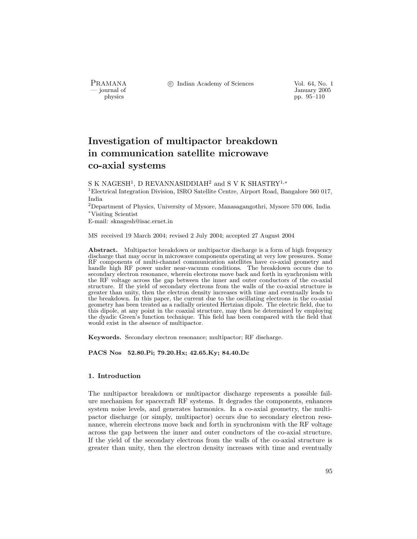PRAMANA °c Indian Academy of Sciences Vol. 64, No. 1

by January 2005<br>
physics physics physics problem in the set of the set of the set of the set of the set of the set of the set of the set of the set of the set of the set of the set of the set of the set of the set of the s pp. 95–110

# Investigation of multipactor breakdown in communication satellite microwave co-axial systems

S K NAGESH<sup>1</sup>, D REVANNASIDDIAH<sup>2</sup> and S V K SHASTRY<sup>1,∗</sup>

<sup>1</sup>Electrical Integration Division, ISRO Satellite Centre, Airport Road, Bangalore 560 017, India

<sup>2</sup>Department of Physics, University of Mysore, Manasagangothri, Mysore 570 006, India <sup>∗</sup>Visiting Scientist

E-mail: sknagesh@isac.ernet.in

MS received 19 March 2004; revised 2 July 2004; accepted 27 August 2004

Abstract. Multipactor breakdown or multipactor discharge is a form of high frequency discharge that may occur in microwave components operating at very low pressures. Some RF components of multi-channel communication satellites have co-axial geometry and handle high RF power under near-vacuum conditions. The breakdown occurs due to secondary electron resonance, wherein electrons move back and forth in synchronism with the RF voltage across the gap between the inner and outer conductors of the co-axial structure. If the yield of secondary electrons from the walls of the co-axial structure is greater than unity, then the electron density increases with time and eventually leads to the breakdown. In this paper, the current due to the oscillating electrons in the co-axial geometry has been treated as a radially oriented Hertzian dipole. The electric field, due to this dipole, at any point in the coaxial structure, may then be determined by employing the dyadic Green's function technique. This field has been compared with the field that would exist in the absence of multipactor.

Keywords. Secondary electron resonance; multipactor; RF discharge.

PACS Nos 52.80.Pi; 79.20.Hx; 42.65.Ky; 84.40.Dc

### 1. Introduction

The multipactor breakdown or multipactor discharge represents a possible failure mechanism for spacecraft RF systems. It degrades the components, enhances system noise levels, and generates harmonics. In a co-axial geometry, the multipactor discharge (or simply, multipactor) occurs due to secondary electron resonance, wherein electrons move back and forth in synchronism with the RF voltage across the gap between the inner and outer conductors of the co-axial structure. If the yield of the secondary electrons from the walls of the co-axial structure is greater than unity, then the electron density increases with time and eventually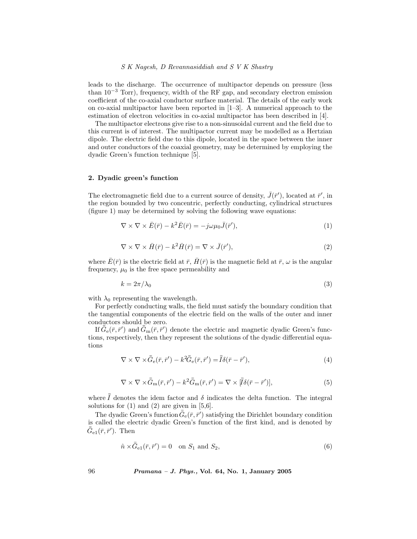leads to the discharge. The occurrence of multipactor depends on pressure (less than  $10^{-3}$  Torr), frequency, width of the RF gap, and secondary electron emission coefficient of the co-axial conductor surface material. The details of the early work on co-axial multipactor have been reported in [1–3]. A numerical approach to the estimation of electron velocities in co-axial multipactor has been described in [4].

The multipactor electrons give rise to a non-sinusoidal current and the field due to this current is of interest. The multipactor current may be modelled as a Hertzian dipole. The electric field due to this dipole, located in the space between the inner and outer conductors of the coaxial geometry, may be determined by employing the dyadic Green's function technique [5].

#### 2. Dyadic green's function

The electromagnetic field due to a current source of density,  $\bar{J}(\bar{r}^{\prime})$ , located at  $\bar{r}^{\prime}$ , in the region bounded by two concentric, perfectly conducting, cylindrical structures (figure 1) may be determined by solving the following wave equations:

$$
\nabla \times \nabla \times \bar{E}(\bar{r}) - k^2 \bar{E}(\bar{r}) = -j\omega\mu_0 \bar{J}(\bar{r}'),\tag{1}
$$

$$
\nabla \times \nabla \times \bar{H}(\bar{r}) - k^2 \bar{H}(\bar{r}) = \nabla \times \bar{J}(\bar{r}'),\tag{2}
$$

where  $\bar{E}(\bar{r})$  is the electric field at  $\bar{r}$ ,  $\bar{H}(\bar{r})$  is the magnetic field at  $\bar{r}$ ,  $\omega$  is the angular frequency,  $\mu_0$  is the free space permeability and

$$
k = 2\pi/\lambda_0 \tag{3}
$$

with  $\lambda_0$  representing the wavelength.

For perfectly conducting walls, the field must satisfy the boundary condition that the tangential components of the electric field on the walls of the outer and inner conductors should be zero.

If  $\bar{\bar{G}}_e(\bar{r},\bar{r}')$  and  $\bar{\bar{G}}_m(\bar{r},\bar{r}')$  denote the electric and magnetic dyadic Green's functions, respectively, then they represent the solutions of the dyadic differential equations

$$
\nabla \times \nabla \times \bar{\bar{G}}_{\text{e}}(\bar{r}, \bar{r}') - k^2 \bar{\bar{G}}_{\text{e}}(\bar{r}, \bar{r}') = \bar{\bar{I}} \delta(\bar{r} - \bar{r}'),\tag{4}
$$

$$
\nabla \times \nabla \times \bar{G}_{\mathbf{m}}(\bar{r}, \bar{r}') - k^2 \bar{G}_{\mathbf{m}}(\bar{r}, \bar{r}') = \nabla \times [\bar{I}\delta(\bar{r} - \bar{r}')] \tag{5}
$$

where  $\bar{I}$  denotes the idem factor and  $\delta$  indicates the delta function. The integral solutions for  $(1)$  and  $(2)$  are given in  $[5,6]$ .

The dyadic Green's function  $\bar{\bar{G}}_e(\bar{r}, \bar{r}')$  satisfying the Dirichlet boundary condition is called the electric dyadic Green's function of the first kind, and is denoted by  $\bar{\bar{G}}_{e1}(\bar{r}, \bar{r}^{\prime}).$  Then

$$
\hat{n} \times \bar{\bar{G}}_{e1}(\bar{r}, \bar{r}') = 0 \quad \text{on } S_1 \text{ and } S_2,\tag{6}
$$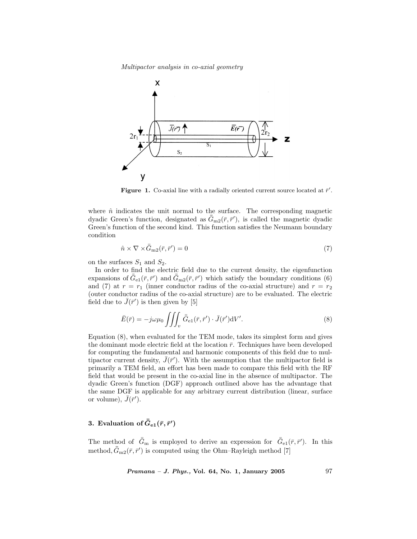

Figure 1. Co-axial line with a radially oriented current source located at  $\bar{r}'$ .

where  $\hat{n}$  indicates the unit normal to the surface. The corresponding magnetic dyadic Green's function, designated as  $\bar{G}_{m2}(\bar{r}, \bar{r}'),$  is called the magnetic dyadic Green's function of the second kind. This function satisfies the Neumann boundary condition

$$
\hat{n} \times \nabla \times \bar{\bar{G}}_{\text{m2}}(\bar{r}, \bar{r}') = 0 \tag{7}
$$

on the surfaces  $S_1$  and  $S_2$ .

In order to find the electric field due to the current density, the eigenfunction expansions of  $\bar{\bar{G}}_{e1}(\bar{r},\bar{r}')$  and  $\bar{\bar{G}}_{m2}(\bar{r},\bar{r}')$  which satisfy the boundary conditions (6) and (7) at  $r = r_1$  (inner conductor radius of the co-axial structure) and  $r = r_2$ (outer conductor radius of the co-axial structure) are to be evaluated. The electric field due to  $\bar{J}(\bar{r}')$  is then given by [5]

$$
\bar{E}(\bar{r}) = -j\omega\mu_0 \iiint_v \bar{\bar{G}}_{\text{e1}}(\bar{r}, \bar{r}') \cdot \bar{J}(\bar{r}') dV'. \tag{8}
$$

Equation (8), when evaluated for the TEM mode, takes its simplest form and gives the dominant mode electric field at the location  $\bar{r}$ . Techniques have been developed for computing the fundamental and harmonic components of this field due to multipactor current density,  $\bar{J}(\bar{r}')$ . With the assumption that the multipactor field is primarily a TEM field, an effort has been made to compare this field with the RF field that would be present in the co-axial line in the absence of multipactor. The dyadic Green's function (DGF) approach outlined above has the advantage that the same DGF is applicable for any arbitrary current distribution (linear, surface or volume),  $\bar{J}(\bar{r}^{\prime})$ .

## 3. Evaluation of  $\bar{\bar{G}}_{\mathrm{e}1}(\bar{r},\bar{r}')$

The method of  $\bar{G}_{\text{m}}$  is employed to derive an expression for  $\bar{G}_{e1}(\bar{r}, \bar{r}')$ . In this method,  $\bar{G}_{\text{m2}}(\bar{r}, \bar{r}')$  is computed using the Ohm–Rayleigh method [7]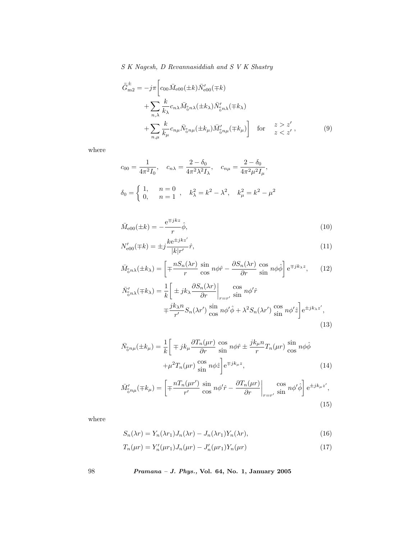$$
\bar{\bar{G}}_{m2}^{\pm} = -j\pi \left[ c_{00} \bar{M}_{e00} (\pm k) \bar{N}_{e00}' (\mp k) \right. \n+ \sum_{n,\lambda} \frac{k}{k_{\lambda}} c_{n\lambda} \bar{M}_{0n\lambda} (\pm k_{\lambda}) \bar{N}_{0n\lambda}' (\mp k_{\lambda}) \n+ \sum_{n,\mu} \frac{k}{k_{\mu}} c_{n\mu} \bar{N}_{0n\mu} (\pm k_{\mu}) \bar{M}_{0n\mu}' (\mp k_{\mu}) \right] \quad \text{for} \quad \frac{z > z'}{z < z'},
$$
\n(9)

where

$$
c_{00} = \frac{1}{4\pi^2 I_0}, \quad c_{n\lambda} = \frac{2 - \delta_0}{4\pi^2 \lambda^2 I_\lambda}, \quad c_{n\mu} = \frac{2 - \delta_0}{4\pi^2 \mu^2 I_\mu},
$$
  

$$
\delta_0 = \begin{cases} 1, & n = 0 \\ 0, & n = 1 \end{cases}, \quad k_\lambda^2 = k^2 - \lambda^2, \quad k_\mu^2 = k^2 - \mu^2
$$

$$
\bar{M}_{e00}(\pm k) = -\frac{e^{\mp jkz}}{r}\hat{\phi},\qquad(10)
$$

$$
N'_{e00}(\mp k) = \pm j \frac{k e^{\pm j k z'}}{|k| r'} \hat{r},\tag{11}
$$

$$
\bar{M}_{\text{on}\lambda}(\pm k_{\lambda}) = \left[ \mp \frac{n S_n(\lambda r)}{r} \sin n\phi \hat{r} - \frac{\partial S_n(\lambda r)}{\partial r} \cos n\phi \hat{\phi} \right] e^{\mp jk_{\lambda}z}, \quad (12)
$$

$$
\bar{N}_{\text{on}\lambda}^{\prime}(\mp k_{\lambda}) = \frac{1}{k} \left[ \pm j k_{\lambda} \frac{\partial S_n(\lambda r)}{\partial r} \Big|_{r=r'} \frac{\cos n\phi^{\prime} \hat{r}}{\sin n\phi^{\prime} \hat{r}} \right]
$$
\n
$$
\mp \frac{j k_{\lambda} n}{r'} S_n(\lambda r') \frac{\sin n\phi^{\prime} \hat{\phi} + \lambda^2 S_n(\lambda r') \frac{\cos n\phi^{\prime} \hat{z}}{\sin n\phi^{\prime} \hat{z}} \right] e^{\pm j k_{\lambda} z'},
$$
\n(13)

$$
\bar{N}_{\delta n\mu}^{\epsilon}(\pm k_{\mu}) = \frac{1}{k} \left[ \mp j k_{\mu} \frac{\partial T_n(\mu r)}{\partial r} \frac{\cos}{\sin} n \phi \hat{r} \pm \frac{j k_{\mu} n}{r} T_n(\mu r) \frac{\sin}{\cos} n \phi \hat{\phi} \right] + \mu^2 T_n(\mu r) \frac{\cos}{\sin} n \phi \hat{z} \bigg] e^{\mp j k_{\mu} z}, \tag{14}
$$

$$
\bar{M}'_{\delta n\mu}(\mp k_{\mu}) = \left[ \mp \frac{nT_n(\mu r')}{r'} \frac{\sin n\phi' \hat{r} - \frac{\partial T_n(\mu r)}{\partial r} \Big|_{r=r'} \frac{\cos n\phi' \hat{\phi}}{\sin n\phi' \hat{\phi}} \right] e^{\pm jk_{\mu}z'},\tag{15}
$$

where

$$
S_n(\lambda r) = Y_n(\lambda r_1) J_n(\lambda r) - J_n(\lambda r_1) Y_n(\lambda r), \qquad (16)
$$

$$
T_n(\mu r) = Y'_n(\mu r_1) J_n(\mu r) - J'_n(\mu r_1) Y_n(\mu r) \tag{17}
$$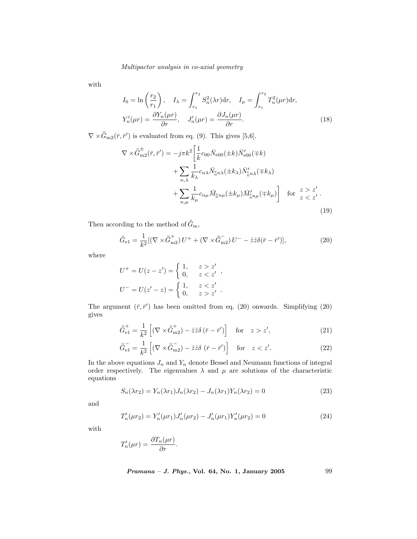with

$$
I_0 = \ln\left(\frac{r_2}{r_1}\right), \quad I_\lambda = \int_{r_1}^{r_2} S_n^2(\lambda r) dr, \quad I_\mu = \int_{r_1}^{r_2} T_n^2(\mu r) dr,
$$

$$
Y_n'(\mu r) = \frac{\partial Y_n(\mu r)}{\partial r}, \quad J_n'(\mu r) = \frac{\partial J_n(\mu r)}{\partial r}.
$$
(18)

 $\nabla \times \bar{\bar{G}}_{m2}(\bar{r}, \bar{r}')$  is evaluated from eq. (9). This gives [5,6].

$$
\nabla \times \bar{G}_{\text{m2}}^{\pm}(\bar{r}, \bar{r}') = -j\pi k^2 \left[ \frac{1}{k} c_{00} \bar{N}_{e00}(\pm k) \bar{N}_{e00}'(\mp k) + \sum_{n,\lambda} \frac{1}{k_{\lambda}} c_{n\lambda} \bar{N}_{0}^{\epsilon} \bar{N}_{0n\lambda}(\pm k_{\lambda}) \bar{N}_{0n\lambda}'(\mp k_{\lambda}) + \sum_{n,\mu} \frac{1}{k_{\mu}} c_{n\mu} \bar{M}_{0n\mu}(\pm k_{\mu}) \bar{M}_{0n\mu}'(\mp k_{\mu}) \right] \quad \text{for} \quad z > z'.
$$
\n(19)

Then according to the method of  $\bar{G}_{\text{m}}$ ,

$$
\bar{\bar{G}}_{e1} = \frac{1}{k^2} [(\nabla \times \bar{\bar{G}}_{m2}^+) U^+ + (\nabla \times \bar{\bar{G}}_{m2}^-) U^- - \hat{z}\hat{z}\delta(\bar{r} - \bar{r}')] ,\tag{20}
$$

where

$$
U^{+} = U(z - z') = \begin{cases} 1, & z > z' \\ 0, & z < z' \end{cases},
$$
  

$$
U^{-} = U(z' - z) = \begin{cases} 1, & z < z' \\ 0, & z > z' \end{cases}.
$$

The argument  $(\bar{r}, \bar{r}')$  has been omitted from eq. (20) onwards. Simplifying (20) gives

$$
\bar{\bar{G}}_{\text{e1}}^{+} = \frac{1}{k^2} \left[ (\nabla \times \bar{\bar{G}}_{\text{m2}}^{+}) - \hat{z}\hat{z}\delta \left(\bar{r} - \bar{r}'\right) \right] \quad \text{for} \quad z > z', \tag{21}
$$

$$
\bar{\bar{G}}_{e1}^{-} = \frac{1}{k^2} \left[ (\nabla \times \bar{\bar{G}}_{m2}) - \hat{z}\hat{z}\delta \left( \bar{r} - \bar{r}' \right) \right] \quad \text{for} \quad z < z'. \tag{22}
$$

In the above equations  $J_n$  and  $Y_n$  denote Bessel and Neumann functions of integral order respectively. The eigenvalues  $\lambda$  and  $\mu$  are solutions of the characteristic equations

$$
S_n(\lambda r_2) = Y_n(\lambda r_1)J_n(\lambda r_2) - J_n(\lambda r_1)Y_n(\lambda r_2) = 0
$$
\n(23)

and

$$
T'_{n}(\mu r_{2}) = Y'_{n}(\mu r_{1})J'_{n}(\mu r_{2}) - J'_{n}(\mu r_{1})Y'_{n}(\mu r_{2}) = 0
$$
\n(24)

with

$$
T_n'(\mu r) = \frac{\partial T_n(\mu r)}{\partial r}.
$$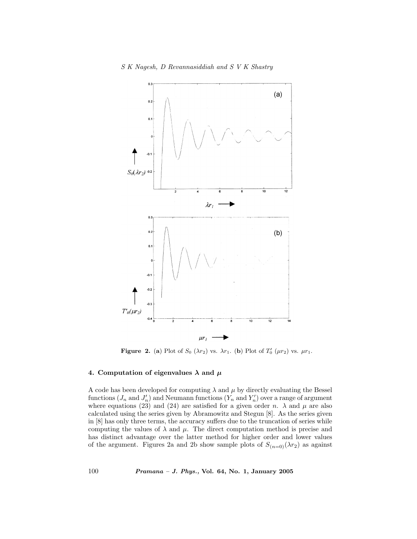

**Figure 2.** (a) Plot of  $S_0(\lambda r_2)$  vs.  $\lambda r_1$ . (b) Plot of  $T'_0(\mu r_2)$  vs.  $\mu r_1$ .

#### 4. Computation of eigenvalues  $\lambda$  and  $\mu$

A code has been developed for computing  $\lambda$  and  $\mu$  by directly evaluating the Bessel functions  $(J_n$  and  $J'_n)$  and Neumann functions  $(Y_n$  and  $Y'_n)$  over a range of argument where equations (23) and (24) are satisfied for a given order n.  $\lambda$  and  $\mu$  are also calculated using the series given by Abramowitz and Stegun [8]. As the series given in [8] has only three terms, the accuracy suffers due to the truncation of series while computing the values of  $\lambda$  and  $\mu$ . The direct computation method is precise and has distinct advantage over the latter method for higher order and lower values of the argument. Figures 2a and 2b show sample plots of  $S_{(n=0)}(\lambda r_2)$  as against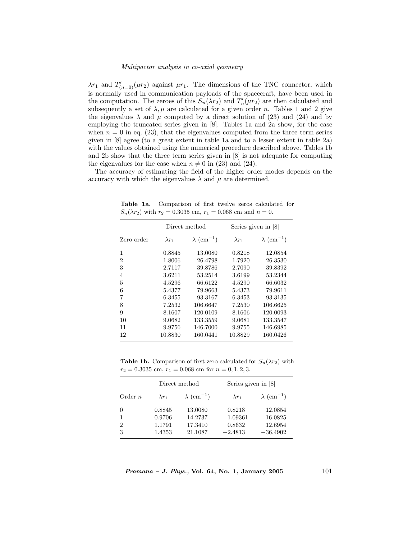$\lambda r_1$  and  $T'_{(n=0)}(\mu r_2)$  against  $\mu r_1$ . The dimensions of the TNC connector, which is normally used in communication payloads of the spacecraft, have been used in the computation. The zeroes of this  $S_n(\lambda r_2)$  and  $T'_n(\mu r_2)$  are then calculated and subsequently a set of  $\lambda, \mu$  are calculated for a given order n. Tables 1 and 2 give the eigenvalues  $\lambda$  and  $\mu$  computed by a direct solution of (23) and (24) and by employing the truncated series given in [8]. Tables 1a and 2a show, for the case when  $n = 0$  in eq. (23), that the eigenvalues computed from the three term series given in [8] agree (to a great extent in table 1a and to a lesser extent in table 2a) with the values obtained using the numerical procedure described above. Tables 1b and 2b show that the three term series given in [8] is not adequate for computing the eigenvalues for the case when  $n \neq 0$  in (23) and (24).

The accuracy of estimating the field of the higher order modes depends on the accuracy with which the eigenvalues  $\lambda$  and  $\mu$  are determined.

|                | Direct method |                               |               | Series given in [8]           |  |
|----------------|---------------|-------------------------------|---------------|-------------------------------|--|
| Zero order     | $\lambda r_1$ | $\lambda$ (cm <sup>-1</sup> ) | $\lambda r_1$ | $\lambda$ (cm <sup>-1</sup> ) |  |
| 1              | 0.8845        | 13.0080                       | 0.8218        | 12.0854                       |  |
| $\overline{2}$ | 1.8006        | 26.4798                       | 1.7920        | 26.3530                       |  |
| 3              | 2.7117        | 39.8786                       | 2.7090        | 39.8392                       |  |
| $\overline{4}$ | 3.6211        | 53.2514                       | 3.6199        | 53.2344                       |  |
| 5              | 4.5296        | 66.6122                       | 4.5290        | 66.6032                       |  |
| 6              | 5.4377        | 79.9663                       | 5.4373        | 79.9611                       |  |
| 7              | 6.3455        | 93.3167                       | 6.3453        | 93.3135                       |  |
| 8              | 7.2532        | 106.6647                      | 7.2530        | 106.6625                      |  |
| 9              | 8.1607        | 120.0109                      | 8.1606        | 120.0093                      |  |
| 10             | 9.0682        | 133.3559                      | 9.0681        | 133.3547                      |  |
| 11             | 9.9756        | 146.7000                      | 9.9755        | 146.6985                      |  |
| 12             | 10.8830       | 160.0441                      | 10.8829       | 160.0426                      |  |

Table 1a. Comparison of first twelve zeros calculated for  $S_n(\lambda r_2)$  with  $r_2 = 0.3035$  cm,  $r_1 = 0.068$  cm and  $n = 0$ .

**Table 1b.** Comparison of first zero calculated for  $S_n(\lambda r_2)$  with  $r_2 = 0.3035$  cm,  $r_1 = 0.068$  cm for  $n = 0, 1, 2, 3$ .

|                | Direct method |                               | Series given in [8] |                               |
|----------------|---------------|-------------------------------|---------------------|-------------------------------|
| Order $n$      | $\lambda r_1$ | $\lambda$ (cm <sup>-1</sup> ) | $\lambda r_1$       | $\lambda$ (cm <sup>-1</sup> ) |
| $\theta$       | 0.8845        | 13.0080                       | 0.8218              | 12.0854                       |
|                | 0.9706        | 14.2737                       | 1.09361             | 16.0825                       |
| $\overline{2}$ | 1.1791        | 17.3410                       | 0.8632              | 12.6954                       |
| 3              | 1.4353        | 21.1087                       | $-2.4813$           | $-36.4902$                    |

 $Pramana - J. Phys., Vol. 64, No. 1, January 2005$  101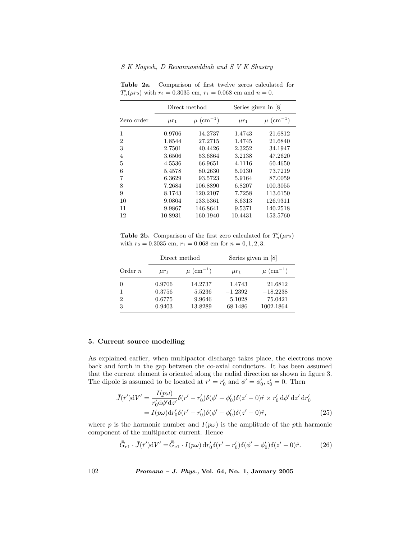|            | Direct method |                           | Series given in $[8]$ |                           |
|------------|---------------|---------------------------|-----------------------|---------------------------|
| Zero order | $\mu r_1$     | $\mu$ (cm <sup>-1</sup> ) | $\mu r_1$             | $\mu$ (cm <sup>-1</sup> ) |
| 1          | 0.9706        | 14.2737                   | 1.4743                | 21.6812                   |
| 2          | 1.8544        | 27.2715                   | 1.4745                | 21.6840                   |
| 3          | 2.7501        | 40.4426                   | 2.3252                | 34.1947                   |
| 4          | 3.6506        | 53.6864                   | 3.2138                | 47.2620                   |
| 5          | 4.5536        | 66.9651                   | 4.1116                | 60.4650                   |
| 6          | 5.4578        | 80.2630                   | 5.0130                | 73.7219                   |
| 7          | 6.3629        | 93.5723                   | 5.9164                | 87.0059                   |
| 8          | 7.2684        | 106.8890                  | 6.8207                | 100.3055                  |
| 9          | 8.1743        | 120.2107                  | 7.7258                | 113.6150                  |
| 10         | 9.0804        | 133.5361                  | 8.6313                | 126.9311                  |
| 11         | 9.9867        | 146.8641                  | 9.5371                | 140.2518                  |
| 12         | 10.8931       | 160.1940                  | 10.4431               | 153.5760                  |

Table 2a. Comparison of first twelve zeros calculated for  $T'_n(\mu r_2)$  with  $r_2 = 0.3035$  cm,  $r_1 = 0.068$  cm and  $n = 0$ .

Table 2b. Comparison of the first zero calculated for  $T'_n(\mu r_2)$ with  $r_2 = 0.3035$  cm,  $r_1 = 0.068$  cm for  $n = 0, 1, 2, 3$ .

|                | Direct method |                           |           | Series given in [8]       |  |
|----------------|---------------|---------------------------|-----------|---------------------------|--|
| Order $n$      | $\mu r_1$     | $\mu$ (cm <sup>-1</sup> ) | $\mu r_1$ | $\mu$ (cm <sup>-1</sup> ) |  |
|                | 0.9706        | 14.2737                   | 1.4743    | 21.6812                   |  |
|                | 0.3756        | 5.5236                    | $-1.2392$ | $-18.2238$                |  |
| $\overline{2}$ | 0.6775        | 9.9646                    | 5.1028    | 75.0421                   |  |
| 3              | 0.9403        | 13.8289                   | 68.1486   | 1002.1864                 |  |

#### 5. Current source modelling

As explained earlier, when multipactor discharge takes place, the electrons move back and forth in the gap between the co-axial conductors. It has been assumed that the current element is oriented along the radial direction as shown in figure 3. The dipole is assumed to be located at  $r' = r'_0$  and  $\phi' = \phi'_0, z'_0 = 0$ . Then

$$
\bar{J}(\bar{r}')dV' = \frac{I(p\omega)}{r'_0 d\phi' dz'} \delta(r'-r'_0)\delta(\phi'-\phi'_0)\delta(z'-0)\hat{r} \times r'_0 d\phi' dz' dr'_0
$$
  
=  $I(p\omega)dr'_0 \delta(r'-r'_0)\delta(\phi'-\phi'_0)\delta(z'-0)\hat{r},$  (25)

where p is the harmonic number and  $I(p\omega)$  is the amplitude of the pth harmonic component of the multipactor current. Hence

$$
\bar{\bar{G}}_{\text{el}} \cdot \bar{J}(\bar{r}')\text{d}V' = \bar{\bar{G}}_{\text{el}} \cdot I(p\omega)\,\text{d}r_0'\delta(r'-r_0')\delta(\phi'-\phi_0')\delta(z'-0)\hat{r}.\tag{26}
$$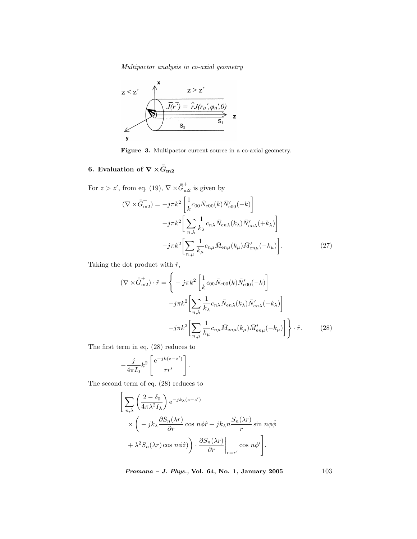

Figure 3. Multipactor current source in a co-axial geometry.

### 6. Evaluation of  $\nabla \times \bar{\bar{G}}_{m2}$

For  $z > z'$ , from eq. (19),  $\nabla \times \overline{\bar{G}}_{m2}^{+}$  is given by

$$
(\nabla \times \bar{G}_{m2}^{+}) = -j\pi k^2 \left[ \frac{1}{k} c_{00} \bar{N}_{e00}(k) \bar{N}_{e00}'(-k) \right]
$$

$$
-j\pi k^2 \left[ \sum_{n,\lambda} \frac{1}{k_{\lambda}} c_{n\lambda} \bar{N}_{en\lambda}(k_{\lambda}) \bar{N}_{en\lambda}'(+k_{\lambda}) \right]
$$

$$
-j\pi k^2 \left[ \sum_{n,\mu} \frac{1}{k_{\mu}} c_{n\mu} \bar{M}_{en\mu}(k_{\mu}) \bar{M}_{en\mu}'(-k_{\mu}) \right].
$$
(27)

Taking the dot product with  $\hat{r}$ ,

$$
(\nabla \times \bar{G}_{m2}^+) \cdot \hat{r} = \left\{ -j\pi k^2 \left[ \frac{1}{k} c_{00} \bar{N}_{e00}(k) \bar{N}_{e00}'(-k) \right] -j\pi k^2 \left[ \sum_{n,\lambda} \frac{1}{k_{\lambda}} c_{n\lambda} \bar{N}_{en\lambda}(k_{\lambda}) \bar{N}_{en\lambda}'(-k_{\lambda}) \right] -j\pi k^2 \left[ \sum_{n,\mu} \frac{1}{k_{\mu}} c_{n\mu} \bar{M}_{en\mu}(k_{\mu}) \bar{M}_{en\mu}'(-k_{\mu}) \right] \right\} \cdot \hat{r}.
$$
 (28)

The first term in eq. (28) reduces to

$$
-\frac{j}{4\pi I_0}k^2\left[\frac{\mathrm{e}^{-jk(z-z')}}{rr'}\right].
$$

The second term of eq. (28) reduces to

$$
\left[\sum_{n,\lambda} \left(\frac{2-\delta_0}{4\pi\lambda^2 I_{\lambda}}\right) e^{-jk_{\lambda}(z-z')} \times \left(-jk_{\lambda} \frac{\partial S_n(\lambda r)}{\partial r} \cos n\phi \hat{r} + jk_{\lambda} n \frac{S_n(\lambda r)}{r} \sin n\phi \hat{\phi} \right. \right. \\ \left. + \lambda^2 S_n(\lambda r) \cos n\phi \hat{z}\right) \cdot \frac{\partial S_n(\lambda r)}{\partial r}\bigg|_{r=r'} \cos n\phi'\right].
$$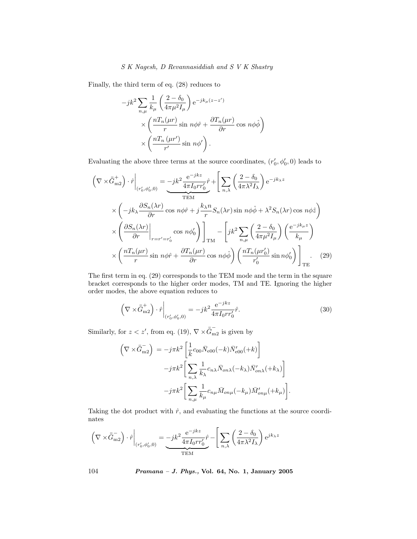Finally, the third term of eq. (28) reduces to

$$
-jk^{2} \sum_{n,\mu} \frac{1}{k_{\mu}} \left( \frac{2 - \delta_{0}}{4\pi\mu^{2} I_{\mu}} \right) e^{-jk_{\mu}(z-z')}
$$

$$
\times \left( \frac{nT_{n}(\mu r)}{r} \sin n\phi \hat{r} + \frac{\partial T_{n}(\mu r)}{\partial r} \cos n\phi \hat{\phi} \right)
$$

$$
\times \left( \frac{nT_{n}(\mu r')}{r'} \sin n\phi' \right).
$$

Evaluating the above three terms at the source coordinates,  $(r'_0, \phi'_0, 0)$  leads to

$$
\left(\nabla \times \bar{G}_{m2}^{+}\right) \cdot \hat{r} \Big|_{(r'_0, \phi'_0, 0)} = -jk^2 \frac{e^{-jkz}}{4\pi I_0 r r'_0} \hat{r} + \left[\sum_{n,\lambda} \left(\frac{2-\delta_0}{4\pi \lambda^2 I_\lambda}\right) e^{-jk\lambda z} \right]
$$
\n
$$
\times \left(-jk_\lambda \frac{\partial S_n(\lambda r)}{\partial r} \cos n\phi \hat{r} + j\frac{k_\lambda n}{r} S_n(\lambda r) \sin n\phi \hat{\phi} + \lambda^2 S_n(\lambda r) \cos n\phi \hat{z}\right)
$$
\n
$$
\times \left(\frac{\partial S_n(\lambda r)}{\partial r}\Big|_{r=r'=r'_0} \cos n\phi'_0\right)\Big|_{TM} - \left[jk^2 \sum_{n,\mu} \left(\frac{2-\delta_0}{4\pi \mu^2 I_\mu}\right) \left(\frac{e^{-jk_\mu z}}{k_\mu}\right) \right]
$$
\n
$$
\times \left(\frac{nT_n(\mu r)}{r} \sin n\phi \hat{r} + \frac{\partial T_n(\mu r)}{\partial r} \cos n\phi \hat{\phi}\right) \left(\frac{nT_n(\mu r'_0)}{r'_0} \sin n\phi'_0\right)\Big|_{TE}.
$$
\n(29)

The first term in eq. (29) corresponds to the TEM mode and the term in the square bracket corresponds to the higher order modes, TM and TE. Ignoring the higher order modes, the above equation reduces to

$$
\left(\nabla \times \bar{\bar{G}}_{\text{m2}}^{+}\right) \cdot \hat{r}\bigg|_{(r'_0, \phi'_0, 0)} = -jk^2 \frac{e^{-jkz}}{4\pi I_0 r r'_0} \hat{r}.\tag{30}
$$

Similarly, for  $z < z'$ , from eq. (19),  $\nabla \times \overline{\overline{G}}_{m2}^-$  is given by

$$
\begin{split} \left(\nabla\times\bar{\bar{G}}_{\textrm{m2}}^{-}\right) \,& = -j\pi k^2\left[\frac{1}{k}c_{00}\bar{N}_{\textrm{e}00}(-k)\bar{N}_{\textrm{e}00}'(+k)\right] \\ &\quad -j\pi k^2\bigg[\sum_{n,\lambda}\frac{1}{k_{\lambda}}c_{n\lambda}\bar{N}_{on\lambda}(-k_{\lambda})\bar{N}_{on\lambda}'(+k_{\lambda})\bigg] \\ &\quad -j\pi k^2\bigg[\sum_{n,\mu}\frac{1}{k_{\mu}}c_{n\mu}\bar{M}_{on\mu}(-k_{\mu})\bar{M}_{on\mu}'(+k_{\mu})\bigg]. \end{split}
$$

Taking the dot product with  $\hat{r}$ , and evaluating the functions at the source coordinates

$$
\left(\nabla\times\bar{\bar{G}}_{\textrm{m2}}^-\right)\cdot\hat{r}\bigg|_{(r'_0,\phi'_0,0)}=\underbrace{-jk^2\frac{\textrm{e}^{-jkz}}{4\pi I_0rr'_0}\hat{r}}_{\textrm{TEM}}-\Bigg[\sum_{n,\lambda}\left(\frac{2-\delta_0}{4\pi\lambda^2 I_{\lambda}}\right)\textrm{e}^{jk_{\lambda}z}\nonumber
$$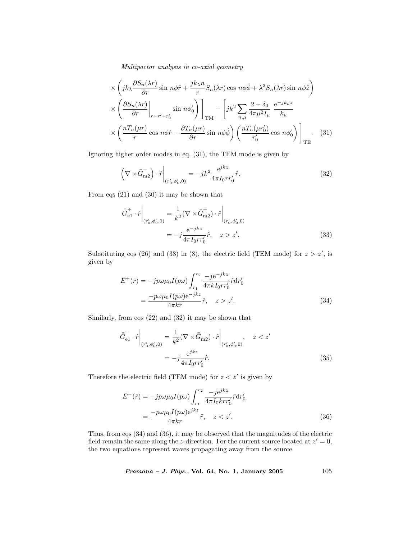$$
\times \left( jk_{\lambda} \frac{\partial S_n(\lambda r)}{\partial r} \sin n\phi \hat{r} + \frac{jk_{\lambda}n}{r} S_n(\lambda r) \cos n\phi \hat{\phi} + \lambda^2 S_n(\lambda r) \sin n\phi \hat{z} \right) \times \left( \frac{\partial S_n(\lambda r)}{\partial r} \Big|_{r=r'=r'_0} \sin n\phi_0' \right) \bigg]_{TM} - \left[ jk^2 \sum_{n,\mu} \frac{2 - \delta_0}{4\pi\mu^2 I_\mu} \frac{e^{-jk_{\mu}z}}{k_{\mu}} \right] \times \left( \frac{nT_n(\mu r)}{r} \cos n\phi \hat{r} - \frac{\partial T_n(\mu r)}{\partial r} \sin n\phi \hat{\phi} \right) \left( \frac{nT_n(\mu r'_0)}{r'_0} \cos n\phi_0' \right) \bigg]_{TE}.
$$
 (31)

Ignoring higher order modes in eq. (31), the TEM mode is given by

$$
\left(\nabla \times \bar{\bar{G}}_{\text{m2}}^{-}\right) \cdot \hat{r}\bigg|_{\left(r_0',\phi_0',0\right)} = -jk^2 \frac{\text{e}^{jkz}}{4\pi I_0 r r_0'} \hat{r}.\tag{32}
$$

From eqs (21) and (30) it may be shown that

$$
\bar{G}_{e1}^{+} \cdot \hat{r} \Big|_{(r'_0, \phi'_0, 0)} = \frac{1}{k^2} (\nabla \times \bar{G}_{m2}^{+}) \cdot \hat{r} \Big|_{(r'_0, \phi'_0, 0)}
$$

$$
= -j \frac{e^{-jkz}}{4\pi I_0 r r'_0} \hat{r}, \quad z > z'. \tag{33}
$$

Substituting eqs (26) and (33) in (8), the electric field (TEM mode) for  $z > z'$ , is given by

$$
\bar{E}^{+}(\bar{r}) = -jp\omega\mu_{0}I(p\omega)\int_{r_{1}}^{r_{2}}\frac{-je^{-jkz}}{4\pi kI_{0}rr'_{0}}\hat{r}dr'_{0}
$$
\n
$$
=\frac{-p\omega\mu_{0}I(p\omega)e^{-jkz}}{4\pi kr}\hat{r}, \quad z > z'. \tag{34}
$$

Similarly, from eqs (22) and (32) it may be shown that

$$
\bar{G}_{e1}^{-} \cdot \hat{r} \Big|_{(r'_0, \phi'_0, 0)} = \frac{1}{k^2} (\nabla \times \bar{G}_{m2}) \cdot \hat{r} \Big|_{(r'_0, \phi'_0, 0)}, \quad z < z'
$$
\n
$$
= -j \frac{e^{jkz}}{4\pi I_0 r r'_0} \hat{r}.\tag{35}
$$

Therefore the electric field (TEM mode) for  $z < z'$  is given by

$$
\bar{E}^{-}(\bar{r}) = -jp\omega\mu_0 I(p\omega) \int_{r_1}^{r_2} \frac{-je^{jkz}}{4\pi I_0 k r r'_0} \hat{r} dr'_0
$$

$$
= \frac{-p\omega\mu_0 I(p\omega)e^{jkz}}{4\pi kr} \hat{r}, \quad z < z'. \tag{36}
$$

Thus, from eqs (34) and (36), it may be observed that the magnitudes of the electric field remain the same along the z-direction. For the current source located at  $z'=0$ , the two equations represent waves propagating away from the source.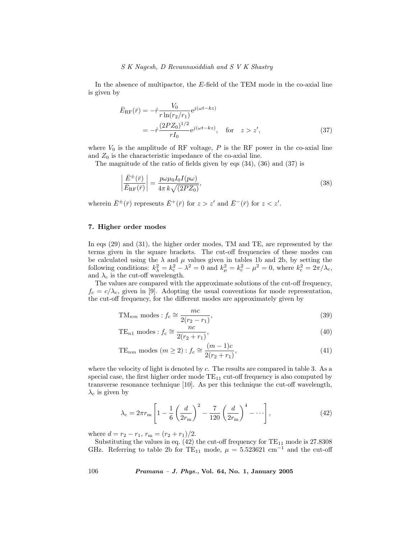In the absence of multipactor, the E-field of the TEM mode in the co-axial line is given by

$$
\begin{split} \bar{E}_{\rm RF}(\bar{r}) &= -\hat{r} \frac{V_0}{r \ln(r_2/r_1)} e^{j(\omega t - kz)} \\ &= -\hat{r} \frac{(2PZ_0)^{1/2}}{rI_0} e^{j(\omega t - kz)}, \quad \text{for} \quad z > z', \end{split} \tag{37}
$$

where  $V_0$  is the amplitude of RF voltage, P is the RF power in the co-axial line and  $Z_0$  is the characteristic impedance of the co-axial line.

The magnitude of the ratio of fields given by eqs (34), (36) and (37) is

$$
\left| \frac{\bar{E}^{\pm}(\bar{r})}{\bar{E}_{\rm RF}(\bar{r})} \right| = \frac{p \omega \mu_0 I_0 I(p \omega)}{4\pi k \sqrt{(2PZ_0)}},\tag{38}
$$

wherein  $\bar{E}^{\pm}(\bar{r})$  represents  $\bar{E}^{+}(\bar{r})$  for  $z > z'$  and  $\bar{E}^{-}(\bar{r})$  for  $z < z'$ .

#### 7. Higher order modes

In eqs (29) and (31), the higher order modes, TM and TE, are represented by the terms given in the square brackets. The cut-off frequencies of these modes can be calculated using the  $\lambda$  and  $\mu$  values given in tables 1b and 2b, by setting the following conditions:  $k_{\lambda}^2 = k_c^2 - \lambda^2 = 0$  and  $k_{\mu}^2 = k_c^2 - \mu^2 = 0$ , where  $k_c^2 = 2\pi/\lambda_c$ , and  $\lambda_c$  is the cut-off wavelength.

The values are compared with the approximate solutions of the cut-off frequency,  $f_c = c/\lambda_c$ , given in [9]. Adopting the usual conventions for mode representation, the cut-off frequency, for the different modes are approximately given by

$$
TM_{nm} \text{ modes}: f_c \cong \frac{mc}{2(r_2 - r_1)},\tag{39}
$$

TE<sub>n1</sub> modes: 
$$
f_c \cong \frac{nc}{2(r_2 + r_1)}
$$
, (40)

TE<sub>nm</sub> modes 
$$
(m \ge 2): f_c \cong \frac{(m-1)c}{2(r_2+r_1)},
$$
 (41)

where the velocity of light is denoted by c. The results are compared in table 3. As a special case, the first higher order mode  $TE_{11}$  cut-off frequency is also computed by transverse resonance technique [10]. As per this technique the cut-off wavelength,  $\lambda_c$  is given by

$$
\lambda_{\rm c} = 2\pi r_{\rm m} \left[ 1 - \frac{1}{6} \left( \frac{d}{2r_{\rm m}} \right)^2 - \frac{7}{120} \left( \frac{d}{2r_{\rm m}} \right)^4 - \dotsb \right],\tag{42}
$$

where  $d = r_2 - r_1$ ,  $r_m = (r_2 + r_1)/2$ .

Substituting the values in eq.  $(42)$  the cut-off frequency for  $TE_{11}$  mode is 27.8308 GHz. Referring to table 2b for TE<sub>11</sub> mode,  $\mu = 5.523621$  cm<sup>-1</sup> and the cut-off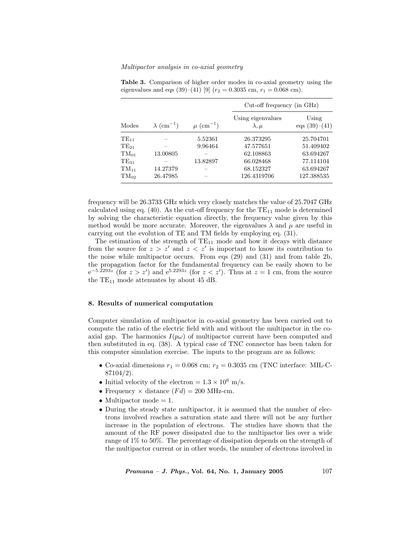|           |                               | $\mu$ (cm <sup>-1</sup> ) | $Cut-off$ frequency (in $GHz$ )     |                          |
|-----------|-------------------------------|---------------------------|-------------------------------------|--------------------------|
| Modes     | $\lambda$ (cm <sup>-1</sup> ) |                           | Using eigenvalues<br>$\lambda, \mu$ | Using<br>eqs $(39)-(41)$ |
| $TE_{11}$ |                               | 5.52361                   | 26.373295                           | 25.704701                |
| $TE_{21}$ |                               | 9.96464                   | 47.577651                           | 51.409402                |
| $TM_{01}$ | 13.00805                      |                           | 62.108863                           | 63.694267                |
| $TE_{31}$ |                               | 13.82897                  | 66.028468                           | 77.114104                |
| $TM_{11}$ | 14.27379                      |                           | 68.152327                           | 63.694267                |
| $TM_{02}$ | 26.47985                      |                           | 126.4319706                         | 127.388535               |

Table 3. Comparison of higher order modes in co-axial geometry using the eigenvalues and eqs (39)–(41) [9] ( $r_2 = 0.3035$  cm,  $r_1 = 0.068$  cm).

frequency will be 26.3733 GHz which very closely matches the value of 25.7047 GHz calculated using eq.  $(40)$ . As the cut-off frequency for the TE<sub>11</sub> mode is determined by solving the characteristic equation directly, the frequency value given by this method would be more accurate. Moreover, the eigenvalues  $\lambda$  and  $\mu$  are useful in carrying out the evolution of TE and TM fields by employing eq. (31).

The estimation of the strength of  $TE_{11}$  mode and how it decays with distance from the source for  $z > z'$  and  $z < z'$  is important to know its contribution to the noise while multipactor occurs. From eqs (29) and (31) and from table 2b, the propagation factor for the fundamental frequency can be easily shown to be  $e^{-5.2293z}$  (for  $z > z'$ ) and  $e^{5.2293z}$  (for  $z < z'$ ). Thus at  $z = 1$  cm, from the source the  $TE_{11}$  mode attenuates by about 45 dB.

#### 8. Results of numerical computation

Computer simulation of multipactor in co-axial geometry has been carried out to compute the ratio of the electric field with and without the multipactor in the coaxial gap. The harmonics  $I(p\omega)$  of multipactor current have been computed and then substituted in eq. (38). A typical case of TNC connector has been taken for this computer simulation exercise. The inputs to the program are as follows:

- Co-axial dimensions  $r_1 = 0.068$  cm;  $r_2 = 0.3035$  cm (TNC interface: MIL-C-87104/2).
- Initial velocity of the electron =  $1.3 \times 10^6$  m/s.
- Frequency  $\times$  distance  $(Fd) = 200$  MHz-cm.
- Multipactor mode  $= 1$ .
- During the steady state multipactor, it is assumed that the number of electrons involved reaches a saturation state and there will not be any further increase in the population of electrons. The studies have shown that the amount of the RF power dissipated due to the multipactor lies over a wide range of 1% to 50%. The percentage of dissipation depends on the strength of the multipactor current or in other words, the number of electrons involved in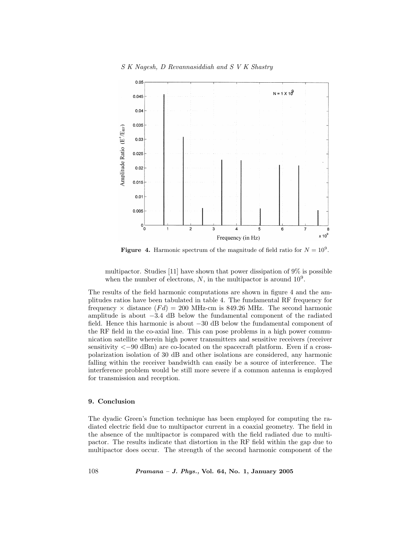

**Figure 4.** Harmonic spectrum of the magnitude of field ratio for  $N = 10^9$ .

multipactor. Studies [11] have shown that power dissipation of 9% is possible when the number of electrons,  $N$ , in the multipactor is around  $10^9$ .

The results of the field harmonic computations are shown in figure 4 and the amplitudes ratios have been tabulated in table 4. The fundamental RF frequency for frequency  $\times$  distance  $(Fd) = 200$  MHz-cm is 849.26 MHz. The second harmonic amplitude is about −3.4 dB below the fundamental component of the radiated field. Hence this harmonic is about −30 dB below the fundamental component of the RF field in the co-axial line. This can pose problems in a high power communication satellite wherein high power transmitters and sensitive receivers (receiver sensitivity  $\langle -90 \text{ dBm} \rangle$  are co-located on the spacecraft platform. Even if a crosspolarization isolation of 30 dB and other isolations are considered, any harmonic falling within the receiver bandwidth can easily be a source of interference. The interference problem would be still more severe if a common antenna is employed for transmission and reception.

#### 9. Conclusion

The dyadic Green's function technique has been employed for computing the radiated electric field due to multipactor current in a coaxial geometry. The field in the absence of the multipactor is compared with the field radiated due to multipactor. The results indicate that distortion in the RF field within the gap due to multipactor does occur. The strength of the second harmonic component of the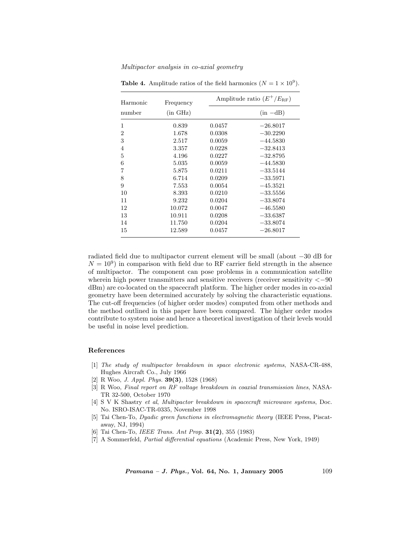| Harmonic       | Frequency          | Amplitude ratio $(E^+/E_{\text{RF}})$ |            |
|----------------|--------------------|---------------------------------------|------------|
| number         | $(in \text{ GHz})$ |                                       | $(in -dB)$ |
| 1              | 0.839              | 0.0457                                | $-26.8017$ |
| $\overline{2}$ | 1.678              | 0.0308                                | $-30.2290$ |
| 3              | 2.517              | 0.0059                                | $-44.5830$ |
| $\overline{4}$ | 3.357              | 0.0228                                | $-32.8413$ |
| 5              | 4.196              | 0.0227                                | $-32.8795$ |
| 6              | 5.035              | 0.0059                                | $-44.5830$ |
| 7              | 5.875              | 0.0211                                | $-33.5144$ |
| 8              | 6.714              | 0.0209                                | $-33.5971$ |
| 9              | 7.553              | 0.0054                                | $-45.3521$ |
| 10             | 8.393              | 0.0210                                | $-33.5556$ |
| 11             | 9.232              | 0.0204                                | $-33.8074$ |
| 12             | 10.072             | 0.0047                                | $-46.5580$ |
| 13             | 10.911             | 0.0208                                | $-33.6387$ |
| 14             | 11.750             | 0.0204                                | $-33.8074$ |
| 15             | 12.589             | 0.0457                                | $-26.8017$ |

**Table 4.** Amplitude ratios of the field harmonics  $(N = 1 \times 10^9)$ .

radiated field due to multipactor current element will be small (about −30 dB for  $N = 10<sup>9</sup>$ ) in comparison with field due to RF carrier field strength in the absence of multipactor. The component can pose problems in a communication satellite wherein high power transmitters and sensitive receivers (receiver sensitivity  $\lt -90$ dBm) are co-located on the spacecraft platform. The higher order modes in co-axial geometry have been determined accurately by solving the characteristic equations. The cut-off frequencies (of higher order modes) computed from other methods and the method outlined in this paper have been compared. The higher order modes contribute to system noise and hence a theoretical investigation of their levels would be useful in noise level prediction.

#### References

- [1] The study of multipactor breakdown in space electronic systems, NASA-CR-488, Hughes Aircraft Co., July 1966
- [2] R Woo, J. Appl. Phys. 39(3), 1528 (1968)
- [3] R Woo, Final report on RF voltage breakdown in coaxial transmission lines, NASA-TR 32-500, October 1970
- [4] S V K Shastry et al, Multipactor breakdown in spacecraft microwave systems, Doc. No. ISRO-ISAC-TR-0335, November 1998
- [5] Tai Chen-To, Dyadic green functions in electromagnetic theory (IEEE Press, Piscataway, NJ, 1994)
- [6] Tai Chen-To, *IEEE Trans. Ant Prop.* **31(2)**, 355 (1983)
- [7] A Sommerfeld, Partial differential equations (Academic Press, New York, 1949)